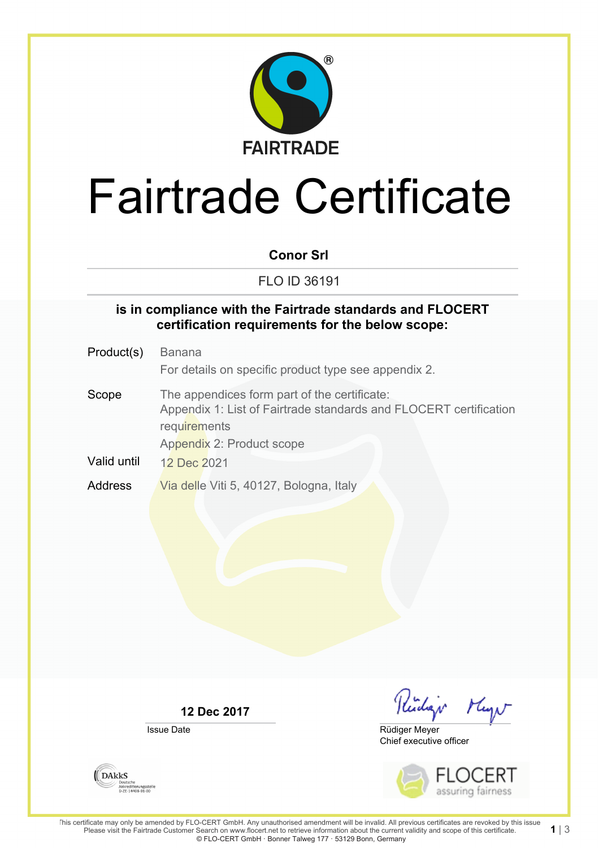

# Fairtrade Certificate

#### **Conor Srl**

FLO ID 36191

#### **is in compliance with the Fairtrade standards and FLOCERT certification requirements for the below scope:**

Product(s) Banana For details on specific product type see appendix 2. Scope The appendices form part of the certificate: Appendix 1: List of Fairtrade standards and FLOCERT certification **requirements** Appendix 2: Product scope Valid until 12 Dec 2021

Address Via delle Viti 5, 40127, Bologna, Italy

**12 Dec 2017**

Issue Date

**DAKKS** 

Deutsene<br>Akkreditierungsstelle<br>D-ZE-14408-01-00

Reidar Mayo

Chief executive officer Rüdiger Meyer



1| $3$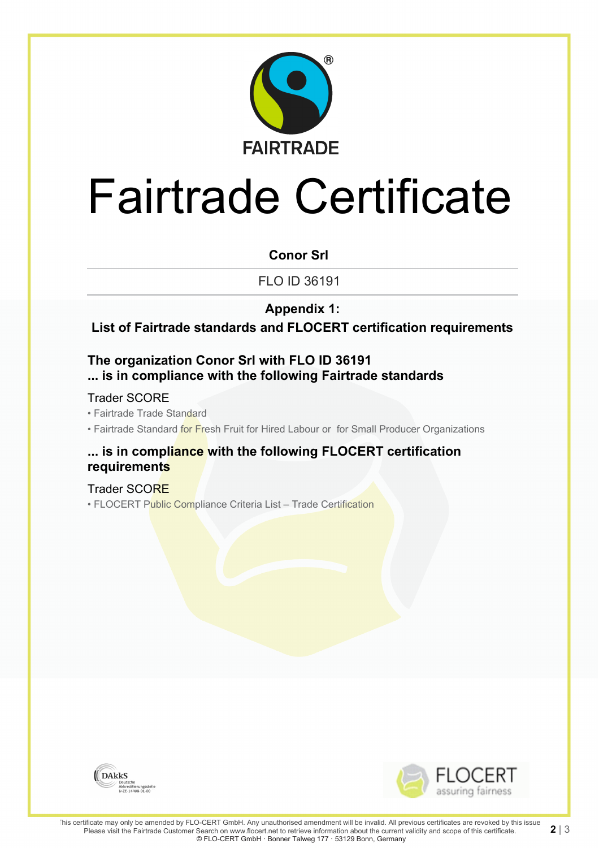

# Fairtrade Certificate

#### **Conor Srl**

FLO ID 36191

### **Appendix 1:**

**List of Fairtrade standards and FLOCERT certification requirements**

### **The organization Conor Srl with FLO ID 36191 ... is in compliance with the following Fairtrade standards**

#### Trader SCORE

• Fairtrade Trade Standard

• Fairtrade Standard for Fresh Fruit for Hired Labour or for Small Producer Organizations

#### **... is in compliance with the following FLOCERT certification requirements**

### Trader SCORE

• FLOCERT Public Compliance Criteria List - Trade Certification